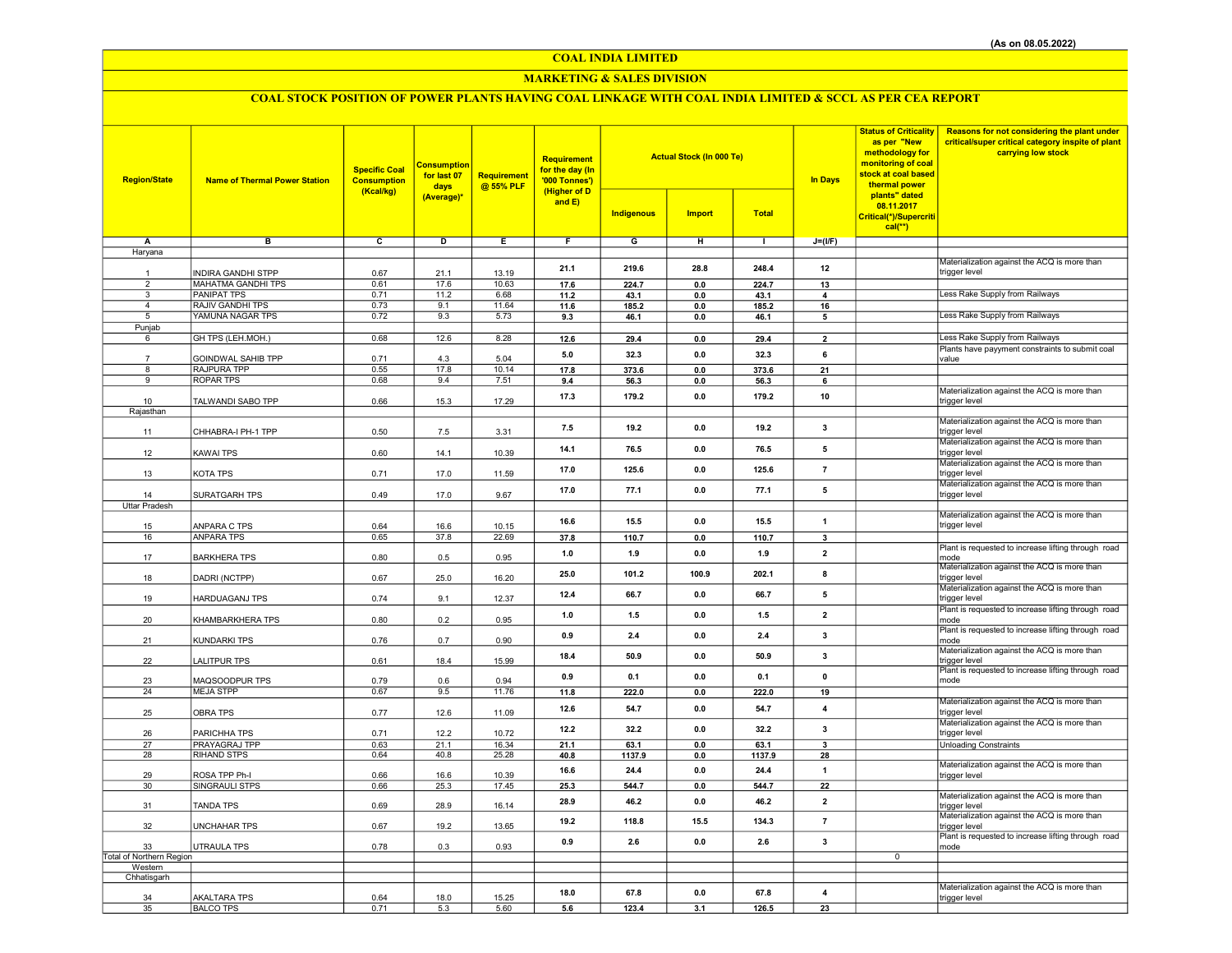## COAL INDIA LIMITED

## MARKETING & SALES DIVISION

# COAL STOCK POSITION OF POWER PLANTS HAVING COAL LINKAGE WITH COAL INDIA LIMITED & SCCL AS PER CEA REPORT

| <b>Region/State</b>            | <b>Name of Thermal Power Station</b>            | <b>Specific Coal</b><br><b>Consumption</b><br>(Kcal/kg) | <b>Consumption</b><br>for last 07<br>days<br>(Average)* | <b>Requirement</b><br>@ 55% PLF | Requirement<br>for the day (In<br>'000 Tonnes')<br>(Higher of D<br>and E) | <b>Actual Stock (In 000 Te)</b><br><b>Indigenous</b><br><b>Import</b><br><b>Total</b> |                       |               | <b>In Days</b>          | <b>Status of Criticality</b><br>as per "New<br>methodology for<br>monitoring of coal<br>stock at coal based<br>thermal power<br>plants" dated<br>08.11.2017 | Reasons for not considering the plant under<br>critical/super critical category inspite of plant<br>carrying low stock |
|--------------------------------|-------------------------------------------------|---------------------------------------------------------|---------------------------------------------------------|---------------------------------|---------------------------------------------------------------------------|---------------------------------------------------------------------------------------|-----------------------|---------------|-------------------------|-------------------------------------------------------------------------------------------------------------------------------------------------------------|------------------------------------------------------------------------------------------------------------------------|
|                                |                                                 |                                                         |                                                         |                                 |                                                                           |                                                                                       |                       |               |                         | Critical(*)/Supercriti<br>$cal(**)$                                                                                                                         |                                                                                                                        |
| Α                              | в                                               | c                                                       | D                                                       | Ε                               | F                                                                         | G                                                                                     | н                     | $\mathbf{L}$  | $J=(I/F)$               |                                                                                                                                                             |                                                                                                                        |
| Haryana                        |                                                 |                                                         |                                                         |                                 |                                                                           |                                                                                       |                       |               |                         |                                                                                                                                                             |                                                                                                                        |
|                                |                                                 |                                                         |                                                         |                                 | 21.1                                                                      | 219.6                                                                                 | 28.8                  | 248.4         | 12                      |                                                                                                                                                             | Materialization against the ACQ is more than                                                                           |
| $\mathbf{1}$<br>$\overline{2}$ | <b>INDIRA GANDHI STPP</b>                       | 0.67                                                    | 21.1                                                    | 13.19                           |                                                                           |                                                                                       |                       |               |                         |                                                                                                                                                             | trigger level                                                                                                          |
| $\overline{3}$                 | <b>MAHATMA GANDHI TPS</b><br><b>PANIPAT TPS</b> | 0.61<br>0.71                                            | 17.6<br>11.2                                            | 10.63<br>6.68                   | 17.6<br>11.2                                                              | 224.7<br>43.1                                                                         | $\mathbf{0.0}$<br>0.0 | 224.7<br>43.1 | 13<br>4                 |                                                                                                                                                             | Less Rake Supply from Railways                                                                                         |
| $\overline{4}$                 | RAJIV GANDHI TPS                                | 0.73                                                    | 9.1                                                     | 11.64                           | 11.6                                                                      | 185.2                                                                                 | 0.0                   | 185.2         | 16                      |                                                                                                                                                             |                                                                                                                        |
| 5                              | YAMUNA NAGAR TPS                                | 0.72                                                    | 9.3                                                     | 5.73                            | 9.3                                                                       | 46.1                                                                                  | 0.0                   | 46.1          | 5                       |                                                                                                                                                             | Less Rake Supply from Railways                                                                                         |
| Punjab                         |                                                 |                                                         |                                                         |                                 |                                                                           |                                                                                       |                       |               |                         |                                                                                                                                                             |                                                                                                                        |
| 6                              | GH TPS (LEH.MOH.)                               | 0.68                                                    | 12.6                                                    | 8.28                            | 12.6                                                                      | 29.4                                                                                  | $\mathbf{0.0}$        | 29.4          | $\overline{2}$          |                                                                                                                                                             | Less Rake Supply from Railways                                                                                         |
|                                | GOINDWAL SAHIB TPP                              | 0.71                                                    | 4.3                                                     | 5.04                            | 5.0                                                                       | 32.3                                                                                  | 0.0                   | 32.3          | 6                       |                                                                                                                                                             | Plants have payyment constraints to submit coal<br>value                                                               |
| 8                              | RAJPURA TPP                                     | 0.55                                                    | 17.8                                                    | 10.14                           | 17.8                                                                      | 373.6                                                                                 | 0.0                   | 373.6         | 21                      |                                                                                                                                                             |                                                                                                                        |
| 9                              | <b>ROPAR TPS</b>                                | 0.68                                                    | 9.4                                                     | 7.51                            | 9.4                                                                       | 56.3                                                                                  | 0.0                   | 56.3          | 6                       |                                                                                                                                                             |                                                                                                                        |
|                                |                                                 |                                                         |                                                         |                                 | 17.3                                                                      | 179.2                                                                                 | 0.0                   | 179.2         | 10                      |                                                                                                                                                             | Materialization against the ACQ is more than                                                                           |
| 10                             | TALWANDI SABO TPP                               | 0.66                                                    | 15.3                                                    | 17.29                           |                                                                           |                                                                                       |                       |               |                         |                                                                                                                                                             | trigger level                                                                                                          |
| Rajasthan                      |                                                 |                                                         |                                                         |                                 |                                                                           |                                                                                       |                       |               |                         |                                                                                                                                                             | Materialization against the ACQ is more than                                                                           |
| 11                             | CHHABRA-I PH-1 TPP                              | 0.50                                                    | 7.5                                                     | 3.31                            | 7.5                                                                       | 19.2                                                                                  | 0.0                   | 19.2          | 3                       |                                                                                                                                                             | trigger level                                                                                                          |
|                                |                                                 |                                                         |                                                         |                                 |                                                                           |                                                                                       |                       |               |                         |                                                                                                                                                             | Materialization against the ACQ is more than                                                                           |
| 12                             | <b>KAWAI TPS</b>                                | 0.60                                                    | 14.1                                                    | 10.39                           | 14.1                                                                      | 76.5                                                                                  | 0.0                   | 76.5          | 5                       |                                                                                                                                                             | trigger level                                                                                                          |
|                                |                                                 |                                                         |                                                         |                                 | 17.0                                                                      | 125.6                                                                                 | 0.0                   | 125.6         | $\overline{7}$          |                                                                                                                                                             | Materialization against the ACQ is more than                                                                           |
| 13                             | KOTA TPS                                        | 0.71                                                    | 17.0                                                    | 11.59                           |                                                                           |                                                                                       |                       |               |                         |                                                                                                                                                             | trigger level<br>Materialization against the ACQ is more than                                                          |
| 14                             | SURATGARH TPS                                   | 0.49                                                    | 17.0                                                    | 9.67                            | 17.0                                                                      | 77.1                                                                                  | 0.0                   | 77.1          | $\sqrt{5}$              |                                                                                                                                                             | trigger level                                                                                                          |
| <b>Uttar Pradesh</b>           |                                                 |                                                         |                                                         |                                 |                                                                           |                                                                                       |                       |               |                         |                                                                                                                                                             |                                                                                                                        |
|                                |                                                 |                                                         |                                                         |                                 | 16.6                                                                      | 15.5                                                                                  | 0.0                   | 15.5          | $\mathbf{1}$            |                                                                                                                                                             | Materialization against the ACQ is more than                                                                           |
| 15                             | ANPARA C TPS                                    | 0.64                                                    | 16.6                                                    | 10.15                           |                                                                           |                                                                                       |                       |               |                         |                                                                                                                                                             | trigger level                                                                                                          |
| 16                             | <b>ANPARA TPS</b>                               | 0.65                                                    | 37.8                                                    | 22.69                           | 37.8                                                                      | 110.7                                                                                 | $0.0\,$               | 110.7         | $\overline{\mathbf{3}}$ |                                                                                                                                                             |                                                                                                                        |
| 17                             | <b>BARKHERA TPS</b>                             | 0.80                                                    | 0.5                                                     | 0.95                            | 1.0                                                                       | 1.9                                                                                   | 0.0                   | 1.9           | $\overline{2}$          |                                                                                                                                                             | Plant is requested to increase lifting through road<br>mode                                                            |
|                                |                                                 |                                                         |                                                         |                                 |                                                                           |                                                                                       |                       |               |                         |                                                                                                                                                             | Materialization against the ACQ is more than                                                                           |
| 18                             | DADRI (NCTPP)                                   | 0.67                                                    | 25.0                                                    | 16.20                           | 25.0                                                                      | 101.2                                                                                 | 100.9                 | 202.1         | 8                       |                                                                                                                                                             | trigger level                                                                                                          |
|                                |                                                 |                                                         |                                                         |                                 | 12.4                                                                      | 66.7                                                                                  | 0.0                   | 66.7          | 5                       |                                                                                                                                                             | Materialization against the ACQ is more than                                                                           |
| 19                             | <b>HARDUAGANJ TPS</b>                           | 0.74                                                    | 9.1                                                     | 12.37                           |                                                                           |                                                                                       |                       |               |                         |                                                                                                                                                             | trigger level                                                                                                          |
| 20                             | KHAMBARKHERA TPS                                | 0.80                                                    | 0.2                                                     | 0.95                            | 1.0                                                                       | $1.5$                                                                                 | 0.0                   | 1.5           | $\overline{\mathbf{2}}$ |                                                                                                                                                             | Plant is requested to increase lifting through road<br>mode                                                            |
|                                |                                                 |                                                         |                                                         |                                 |                                                                           |                                                                                       |                       |               |                         |                                                                                                                                                             | Plant is requested to increase lifting through road                                                                    |
| 21                             | KUNDARKI TPS                                    | 0.76                                                    | 0.7                                                     | 0.90                            | 0.9                                                                       | $2.4\,$                                                                               | 0.0                   | $2.4\,$       | $\mathbf{3}$            |                                                                                                                                                             | mode                                                                                                                   |
|                                |                                                 |                                                         |                                                         |                                 | 18.4                                                                      | 50.9                                                                                  | 0.0                   | 50.9          | 3                       |                                                                                                                                                             | Materialization against the ACQ is more than                                                                           |
| 22                             | <b>LALITPUR TPS</b>                             | 0.61                                                    | 18.4                                                    | 15.99                           |                                                                           |                                                                                       |                       |               |                         |                                                                                                                                                             | trigger level<br>Plant is requested to increase lifting through road                                                   |
| 23                             | MAQSOODPUR TPS                                  | 0.79                                                    | 0.6                                                     | 0.94                            | 0.9                                                                       | 0.1                                                                                   | 0.0                   | 0.1           | $\mathbf 0$             |                                                                                                                                                             | mode                                                                                                                   |
| 24                             | <b>MEJA STPP</b>                                | 0.67                                                    | 9.5                                                     | 11.76                           | 11.8                                                                      | 222.0                                                                                 | 0.0                   | 222.0         | 19                      |                                                                                                                                                             |                                                                                                                        |
|                                |                                                 |                                                         |                                                         |                                 | 12.6                                                                      | 54.7                                                                                  | 0.0                   | 54.7          | $\overline{4}$          |                                                                                                                                                             | Materialization against the ACQ is more than                                                                           |
| 25                             | <b>OBRA TPS</b>                                 | 0.77                                                    | 12.6                                                    | 11.09                           |                                                                           |                                                                                       |                       |               |                         |                                                                                                                                                             | trigger level<br>Materialization against the ACQ is more than                                                          |
| 26                             | PARICHHA TPS                                    | 0.71                                                    | 12.2                                                    | 10.72                           | 12.2                                                                      | 32.2                                                                                  | 0.0                   | 32.2          | 3                       |                                                                                                                                                             | trigger level                                                                                                          |
| 27                             | PRAYAGRAJ TPP                                   | 0.63                                                    | 21.1                                                    | 16.34                           | 21.1                                                                      | 63.1                                                                                  | 0.0                   | 63.1          | 3                       |                                                                                                                                                             | <b>Unloading Constraints</b>                                                                                           |
| 28                             | RIHAND STPS                                     | 0.64                                                    | 40.8                                                    | 25.28                           | 40.8                                                                      | 1137.9                                                                                | 0.0                   | 1137.9        | 28                      |                                                                                                                                                             |                                                                                                                        |
|                                |                                                 |                                                         |                                                         |                                 | 16.6                                                                      | 24.4                                                                                  | 0.0                   | 24.4          | $\overline{1}$          |                                                                                                                                                             | Materialization against the ACQ is more than                                                                           |
| 29<br>30                       | ROSA TPP Ph-I<br>SINGRAULI STPS                 | 0.66<br>0.66                                            | 16.6<br>25.3                                            | 10.39<br>17.45                  | 25.3                                                                      | 544.7                                                                                 | $0.0\,$               | 544.7         | 22                      |                                                                                                                                                             | trigger level                                                                                                          |
|                                |                                                 |                                                         |                                                         |                                 |                                                                           |                                                                                       |                       |               |                         |                                                                                                                                                             | Materialization against the ACQ is more than                                                                           |
| 31                             | <b>TANDA TPS</b>                                | 0.69                                                    | 28.9                                                    | 16.14                           | 28.9                                                                      | 46.2                                                                                  | 0.0                   | 46.2          | $\overline{2}$          |                                                                                                                                                             | trigger level                                                                                                          |
|                                |                                                 |                                                         |                                                         |                                 | 19.2                                                                      | 118.8                                                                                 | 15.5                  | 134.3         | $\overline{7}$          |                                                                                                                                                             | Materialization against the ACQ is more than                                                                           |
| 32                             | <b>UNCHAHAR TPS</b>                             | 0.67                                                    | 19.2                                                    | 13.65                           |                                                                           |                                                                                       |                       |               |                         |                                                                                                                                                             | trigger level<br>Plant is requested to increase lifting through road                                                   |
| 33                             | <b>UTRAULA TPS</b>                              | 0.78                                                    | 0.3                                                     | 0.93                            | 0.9                                                                       | 2.6                                                                                   | 0.0                   | 2.6           | $\overline{\mathbf{3}}$ |                                                                                                                                                             | mode                                                                                                                   |
| Total of Northern Region       |                                                 |                                                         |                                                         |                                 |                                                                           |                                                                                       |                       |               |                         | $\overline{0}$                                                                                                                                              |                                                                                                                        |
| Western                        |                                                 |                                                         |                                                         |                                 |                                                                           |                                                                                       |                       |               |                         |                                                                                                                                                             |                                                                                                                        |
| Chhatisgarh                    |                                                 |                                                         |                                                         |                                 |                                                                           |                                                                                       |                       |               |                         |                                                                                                                                                             | Materialization against the ACQ is more than                                                                           |
| 34                             | <b>AKALTARA TPS</b>                             | 0.64                                                    | 18.0                                                    | 15.25                           | 18.0                                                                      | 67.8                                                                                  | 0.0                   | 67.8          | 4                       |                                                                                                                                                             | trigger level                                                                                                          |
| 35                             | <b>BALCO TPS</b>                                | 0.71                                                    | 5.3                                                     | 5.60                            | 5.6                                                                       | 123.4                                                                                 | 3.1                   | 126.5         | 23                      |                                                                                                                                                             |                                                                                                                        |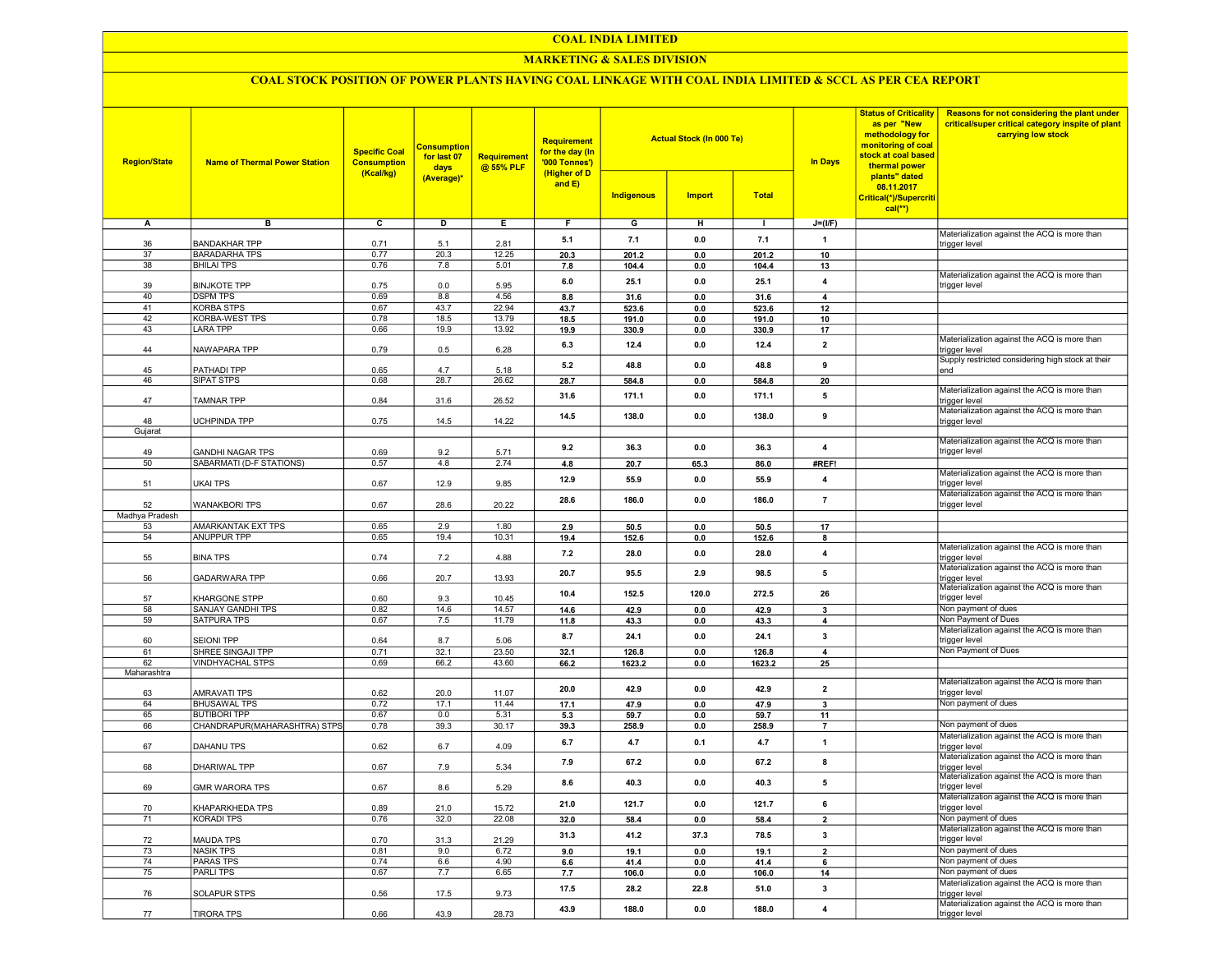#### COAL INDIA LIMITED

## MARKETING & SALES DIVISION

## COAL STOCK POSITION OF POWER PLANTS HAVING COAL LINKAGE WITH COAL INDIA LIMITED & SCCL AS PER CEA REPORT

| <b>Region/State</b> | <b>Name of Thermal Power Station</b>                | <b>Specific Coal</b><br><b>Consumption</b><br>(Kcal/kg) | <b>Consumption</b><br>for last 07<br>days<br>(Average)* | <b>Requirement</b><br>@ 55% PLF | <b>Requirement</b><br>for the day (In<br>'000 Tonnes')<br>(Higher of D<br>and E) | <b>Indigenous</b> | <b>Actual Stock (In 000 Te)</b><br><b>Import</b> | <b>Total</b>   | <b>In Days</b>          | <b>Status of Criticality</b><br>as per "New<br>methodology for<br>monitoring of coal<br>stock at coal based<br>thermal power<br>plants" dated<br>08.11.2017<br>Critical(*)/Supercriti<br>$cal$ <sup>**</sup> ) | Reasons for not considering the plant under<br>critical/super critical category inspite of plant<br>carrying low stock |
|---------------------|-----------------------------------------------------|---------------------------------------------------------|---------------------------------------------------------|---------------------------------|----------------------------------------------------------------------------------|-------------------|--------------------------------------------------|----------------|-------------------------|----------------------------------------------------------------------------------------------------------------------------------------------------------------------------------------------------------------|------------------------------------------------------------------------------------------------------------------------|
| А                   | в                                                   | $\overline{c}$                                          | D                                                       | Е.                              | F.                                                                               | G                 | н                                                | $\mathbf{I}$   | $J=(I/F)$               |                                                                                                                                                                                                                |                                                                                                                        |
|                     |                                                     |                                                         |                                                         |                                 | 5.1                                                                              | 7.1               | 0.0                                              | 7.1            | $\mathbf{1}$            |                                                                                                                                                                                                                | Materialization against the ACQ is more than                                                                           |
| 36                  | <b>BANDAKHAR TPP</b>                                | 0.71                                                    | 5.1                                                     | 2.81                            |                                                                                  |                   |                                                  |                |                         |                                                                                                                                                                                                                | trigger level                                                                                                          |
| 37<br>38            | <b>BARADARHA TPS</b><br><b>BHILAI TPS</b>           | 0.77<br>0.76                                            | 20.3<br>7.8                                             | 12.25<br>5.01                   | 20.3<br>7.8                                                                      | 201.2<br>104.4    | 0.0<br>0.0                                       | 201.2<br>104.4 | 10<br>13                |                                                                                                                                                                                                                |                                                                                                                        |
|                     |                                                     |                                                         |                                                         |                                 |                                                                                  |                   |                                                  |                |                         |                                                                                                                                                                                                                | Materialization against the ACQ is more than                                                                           |
| 39                  | <b>BINJKOTE TPP</b>                                 | 0.75                                                    | 0.0                                                     | 5.95                            | 6.0                                                                              | 25.1              | 0.0                                              | 25.1           | $\overline{4}$          |                                                                                                                                                                                                                | trigger level                                                                                                          |
| 40                  | <b>DSPM TPS</b>                                     | 0.69                                                    | 8.8                                                     | 4.56                            | 8.8                                                                              | 31.6              | 0.0                                              | 31.6           | $\overline{4}$          |                                                                                                                                                                                                                |                                                                                                                        |
| 41                  | <b>KORBA STPS</b>                                   | 0.67                                                    | 43.7                                                    | 22.94                           | 43.7                                                                             | 523.6             | 0.0                                              | 523.6          | 12                      |                                                                                                                                                                                                                |                                                                                                                        |
| 42<br>43            | KORBA-WEST TPS<br><b>LARA TPP</b>                   | 0.78<br>0.66                                            | 18.5<br>19.9                                            | 13.79<br>13.92                  | 18.5<br>19.9                                                                     | 191.0<br>330.9    | 0.0<br>0.0                                       | 191.0<br>330.9 | 10<br>17                |                                                                                                                                                                                                                |                                                                                                                        |
|                     |                                                     |                                                         |                                                         |                                 |                                                                                  |                   |                                                  |                |                         |                                                                                                                                                                                                                | Materialization against the ACQ is more than                                                                           |
| 44                  | NAWAPARA TPP                                        | 0.79                                                    | 0.5                                                     | 6.28                            | 6.3                                                                              | 12.4              | 0.0                                              | 12.4           | $\overline{2}$          |                                                                                                                                                                                                                | trigger level<br>Supply restricted considering high stock at their                                                     |
| 45                  | PATHADI TPP                                         | 0.65                                                    | 4.7                                                     | 5.18                            | 5.2                                                                              | 48.8              | 0.0                                              | 48.8           | 9                       |                                                                                                                                                                                                                | end                                                                                                                    |
| 46                  | SIPAT STPS                                          | 0.68                                                    | 28.7                                                    | 26.62                           | 28.7                                                                             | 584.8             | 0.0                                              | 584.8          | 20                      |                                                                                                                                                                                                                |                                                                                                                        |
|                     |                                                     |                                                         |                                                         |                                 | 31.6                                                                             | 171.1             | 0.0                                              | 171.1          | 5                       |                                                                                                                                                                                                                | Materialization against the ACQ is more than                                                                           |
| 47                  | TAMNAR TPP                                          | 0.84                                                    | 31.6                                                    | 26.52                           |                                                                                  |                   |                                                  |                |                         |                                                                                                                                                                                                                | trigger level<br>Materialization against the ACQ is more than                                                          |
| 48                  | <b>UCHPINDA TPP</b>                                 | 0.75                                                    | 14.5                                                    | 14.22                           | 14.5                                                                             | 138.0             | 0.0                                              | 138.0          | 9                       |                                                                                                                                                                                                                | trigger level                                                                                                          |
| Gujarat             |                                                     |                                                         |                                                         |                                 |                                                                                  |                   |                                                  |                |                         |                                                                                                                                                                                                                |                                                                                                                        |
|                     |                                                     |                                                         |                                                         |                                 | 9.2                                                                              | 36.3              | 0.0                                              | 36.3           | 4                       |                                                                                                                                                                                                                | Materialization against the ACQ is more than                                                                           |
| 49                  | <b>GANDHI NAGAR TPS</b>                             | 0.69                                                    | 9.2                                                     | 5.71                            |                                                                                  |                   |                                                  |                |                         |                                                                                                                                                                                                                | trigger level                                                                                                          |
| 50                  | SABARMATI (D-F STATIONS)                            | 0.57                                                    | 4.8                                                     | 2.74                            | 4.8                                                                              | 20.7              | 65.3                                             | 86.0           | #REF!                   |                                                                                                                                                                                                                | Materialization against the ACQ is more than                                                                           |
| 51                  | <b>UKAI TPS</b>                                     | 0.67                                                    | 12.9                                                    | 9.85                            | 12.9                                                                             | 55.9              | 0.0                                              | 55.9           | 4                       |                                                                                                                                                                                                                | trigger level                                                                                                          |
| 52                  | <b>WANAKBORI TPS</b>                                | 0.67                                                    | 28.6                                                    | 20.22                           | 28.6                                                                             | 186.0             | 0.0                                              | 186.0          | $\overline{7}$          |                                                                                                                                                                                                                | Materialization against the ACQ is more than<br>trigger level                                                          |
| Madhya Pradesh      |                                                     |                                                         |                                                         |                                 |                                                                                  |                   |                                                  |                |                         |                                                                                                                                                                                                                |                                                                                                                        |
| 53                  | <b>AMARKANTAK EXT TPS</b>                           | 0.65                                                    | 2.9                                                     | 1.80                            | 2.9                                                                              | 50.5              | 0.0                                              | 50.5           | 17                      |                                                                                                                                                                                                                |                                                                                                                        |
| 54                  | <b>ANUPPUR TPP</b>                                  | 0.65                                                    | 19.4                                                    | 10.31                           | 19.4                                                                             | 152.6             | 0.0                                              | 152.6          | 8                       |                                                                                                                                                                                                                |                                                                                                                        |
| 55                  | <b>BINA TPS</b>                                     | 0.74                                                    | 7.2                                                     | 4.88                            | 7.2                                                                              | 28.0              | 0.0                                              | 28.0           | $\overline{4}$          |                                                                                                                                                                                                                | Materialization against the ACQ is more than<br>trigger level                                                          |
| 56                  | <b>GADARWARA TPP</b>                                | 0.66                                                    | 20.7                                                    | 13.93                           | 20.7                                                                             | 95.5              | 2.9                                              | 98.5           | 5                       |                                                                                                                                                                                                                | Materialization against the ACQ is more than<br>trigger level                                                          |
| 57                  | KHARGONE STPP                                       | 0.60                                                    | 9.3                                                     | 10.45                           | 10.4                                                                             | 152.5             | 120.0                                            | 272.5          | 26                      |                                                                                                                                                                                                                | Materialization against the ACQ is more than<br>trigger level                                                          |
| 58                  | SANJAY GANDHI TPS                                   | 0.82                                                    | 14.6                                                    | 14.57                           | 14.6                                                                             | 42.9              | 0.0                                              | 42.9           | 3                       |                                                                                                                                                                                                                | Non payment of dues                                                                                                    |
| 59                  | SATPURA TPS                                         | 0.67                                                    | 7.5                                                     | 11.79                           | 11.8                                                                             | 43.3              | 0.0                                              | 43.3           | 4                       |                                                                                                                                                                                                                | Non Payment of Dues                                                                                                    |
|                     |                                                     |                                                         |                                                         |                                 | 8.7                                                                              | 24.1              | 0.0                                              | 24.1           | 3                       |                                                                                                                                                                                                                | Materialization against the ACQ is more than                                                                           |
| 60                  | <b>SEIONI TPP</b>                                   | 0.64                                                    | 8.7                                                     | 5.06                            |                                                                                  |                   |                                                  |                |                         |                                                                                                                                                                                                                | trigger level                                                                                                          |
| 61<br>62            | SHREE SINGAJI TPP<br><b>VINDHYACHAL STPS</b>        | 0.71<br>0.69                                            | 32.1<br>66.2                                            | 23.50<br>43.60                  | 32.1                                                                             | 126.8             | 0.0<br>0.0                                       | 126.8          | $\overline{4}$          |                                                                                                                                                                                                                | Non Payment of Dues                                                                                                    |
| Maharashtra         |                                                     |                                                         |                                                         |                                 | 66.2                                                                             | 1623.2            |                                                  | 1623.2         | 25                      |                                                                                                                                                                                                                |                                                                                                                        |
|                     |                                                     |                                                         |                                                         |                                 | 20.0                                                                             | 42.9              | 0.0                                              | 42.9           | $\overline{2}$          |                                                                                                                                                                                                                | Materialization against the ACQ is more than                                                                           |
| 63                  | <b>AMRAVATI TPS</b>                                 | 0.62                                                    | 20.0                                                    | 11.07                           |                                                                                  |                   |                                                  |                |                         |                                                                                                                                                                                                                | trigger level                                                                                                          |
| 64                  | <b>BHUSAWAL TPS</b>                                 | 0.72                                                    | 17.1                                                    | 11.44                           | 17.1                                                                             | 47.9              | 0.0                                              | 47.9           | $\mathbf{3}$            |                                                                                                                                                                                                                | Non payment of dues                                                                                                    |
| 65<br>66            | <b>BUTIBORI TPP</b><br>CHANDRAPUR(MAHARASHTRA) STPS | 0.67<br>0.78                                            | 0.0<br>39.3                                             | 5.31<br>30.17                   | 5.3<br>39.3                                                                      | 59.7<br>258.9     | 0.0<br>0.0                                       | 59.7<br>258.9  | 11<br>$\overline{7}$    |                                                                                                                                                                                                                | Non payment of dues                                                                                                    |
|                     |                                                     |                                                         |                                                         |                                 | 6.7                                                                              | 4.7               | 0.1                                              | 4.7            | $\mathbf{1}$            |                                                                                                                                                                                                                | Materialization against the ACQ is more than                                                                           |
| 67                  | DAHANU TPS                                          | 0.62                                                    | 6.7                                                     | 4.09                            | 7.9                                                                              | 67.2              | 0.0                                              | 67.2           | 8                       |                                                                                                                                                                                                                | trigger level<br>Materialization against the ACQ is more than                                                          |
| 68                  | DHARIWAL TPP                                        | 0.67                                                    | 7.9                                                     | 5.34                            |                                                                                  |                   |                                                  |                |                         |                                                                                                                                                                                                                | trigger level<br>Materialization against the ACQ is more than                                                          |
| 69                  | <b>GMR WARORA TPS</b>                               | 0.67                                                    | 8.6                                                     | 5.29                            | 8.6                                                                              | 40.3              | 0.0                                              | 40.3           | 5                       |                                                                                                                                                                                                                | trigger level<br>Materialization against the ACQ is more than                                                          |
| 70                  | KHAPARKHEDA TPS                                     | 0.89                                                    | 21.0                                                    | 15.72                           | 21.0                                                                             | 121.7             | $\mathbf{0.0}$                                   | 121.7          | 6                       |                                                                                                                                                                                                                | trigger level                                                                                                          |
| 71                  | KORADI TPS                                          | 0.76                                                    | 32.0                                                    | 22.08                           | 32.0                                                                             | 58.4              | $\mathbf{0.0}$                                   | 58.4           | $\mathbf{2}$            |                                                                                                                                                                                                                | Non payment of dues                                                                                                    |
|                     |                                                     |                                                         |                                                         |                                 | 31.3                                                                             | 41.2              | 37.3                                             | 78.5           | $\overline{\mathbf{3}}$ |                                                                                                                                                                                                                | Materialization against the ACQ is more than                                                                           |
| 72                  | <b>MAUDA TPS</b>                                    | 0.70                                                    | 31.3                                                    | 21.29                           |                                                                                  |                   |                                                  |                |                         |                                                                                                                                                                                                                | trigger level                                                                                                          |
| 73                  | <b>NASIK TPS</b>                                    | 0.81                                                    | 9.0                                                     | 6.72                            | 9.0                                                                              | 19.1              | 0.0                                              | 19.1           | $\mathbf{2}$            |                                                                                                                                                                                                                | Non payment of dues                                                                                                    |
| 74<br>75            | <b>PARAS TPS</b><br><b>PARLITPS</b>                 | 0.74<br>0.67                                            | 6.6                                                     | 4.90<br>6.65                    | 6.6                                                                              | 41.4              | 0.0                                              | 41.4           | 6                       |                                                                                                                                                                                                                | Non payment of dues<br>Non payment of dues                                                                             |
|                     |                                                     |                                                         | 7.7                                                     |                                 | 7.7                                                                              | 106.0             | 0.0                                              | 106.0          | 14                      |                                                                                                                                                                                                                | Materialization against the ACQ is more than                                                                           |
| 76                  | SOLAPUR STPS                                        | 0.56                                                    | 17.5                                                    | 9.73                            | 17.5                                                                             | 28.2              | 22.8                                             | 51.0           | $\overline{\mathbf{3}}$ |                                                                                                                                                                                                                | trigger level                                                                                                          |
| 77                  | <b>TIRORA TPS</b>                                   | 0.66                                                    | 43.9                                                    | 28.73                           | 43.9                                                                             | 188.0             | 0.0                                              | 188.0          | $\overline{\mathbf{4}}$ |                                                                                                                                                                                                                | Materialization against the ACQ is more than<br>trigger level                                                          |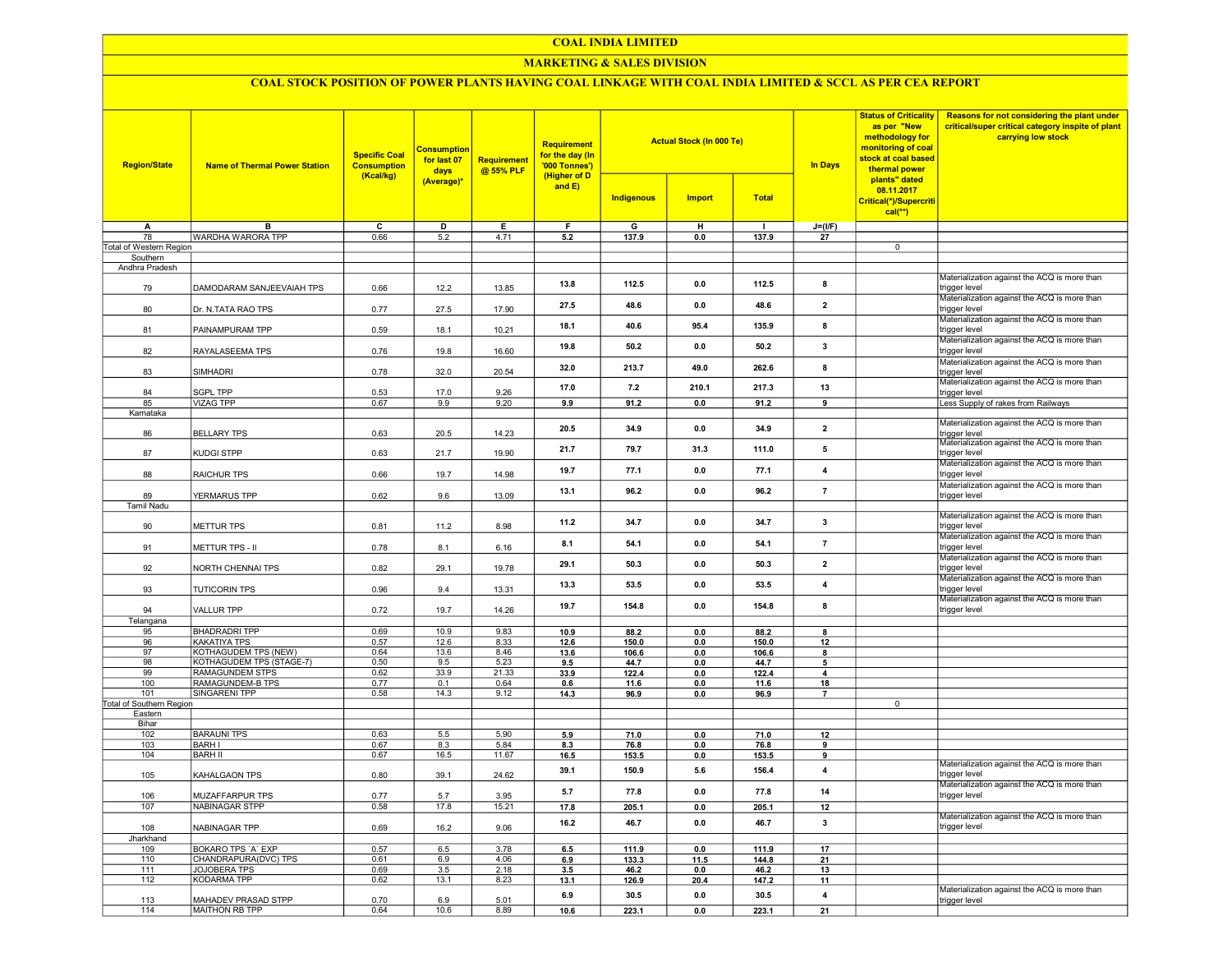#### COAL INDIA LIMITED

## MARKETING & SALES DIVISION

# COAL STOCK POSITION OF POWER PLANTS HAVING COAL LINKAGE WITH COAL INDIA LIMITED & SCCL AS PER CEA REPORT

| <b>Region/State</b>        | <b>Name of Thermal Power Station</b>       | <b>Specific Coal</b><br><b>Consumption</b><br>(Kcal/kg) | <b>Consumption</b><br>for last 07<br>days | Requirement<br>@ 55% PLF | Requirement<br>for the day (In<br>'000 Tonnes')<br>(Higher of D |                   | <b>Actual Stock (In 000 Te)</b> |                | <b>In Days</b>          | <b>Status of Criticality</b><br>as per "New<br>methodology for<br>monitoring of coal<br>stock at coal based<br>thermal power<br>plants" dated | Reasons for not considering the plant under<br>critical/super critical category inspite of plant<br>carrying low stock |
|----------------------------|--------------------------------------------|---------------------------------------------------------|-------------------------------------------|--------------------------|-----------------------------------------------------------------|-------------------|---------------------------------|----------------|-------------------------|-----------------------------------------------------------------------------------------------------------------------------------------------|------------------------------------------------------------------------------------------------------------------------|
|                            |                                            |                                                         | (Average)*                                |                          | and $E$ )                                                       | <b>Indigenous</b> | <b>Import</b>                   | <b>Total</b>   |                         | 08.11.2017<br>Critical(*)/Supercriti<br>$cal(**)$                                                                                             |                                                                                                                        |
| A                          | в                                          | с                                                       | D                                         | Е                        | F                                                               | G                 | н                               | $\blacksquare$ | $J=(I/F)$               |                                                                                                                                               |                                                                                                                        |
| 78                         | WARDHA WARORA TPP                          | 0.66                                                    | 5.2                                       | 4.71                     | 5.2                                                             | 137.9             | 0.0                             | 137.9          | 27                      |                                                                                                                                               |                                                                                                                        |
| Total of Western Region    |                                            |                                                         |                                           |                          |                                                                 |                   |                                 |                |                         | $\overline{0}$                                                                                                                                |                                                                                                                        |
| Southern<br>Andhra Pradesh |                                            |                                                         |                                           |                          |                                                                 |                   |                                 |                |                         |                                                                                                                                               |                                                                                                                        |
| 79                         | DAMODARAM SANJEEVAIAH TPS                  | 0.66                                                    | 12.2                                      | 13.85                    | 13.8                                                            | 112.5             | 0.0                             | 112.5          | 8                       |                                                                                                                                               | Materialization against the ACQ is more than<br>trigger level                                                          |
| 80                         | Dr. N.TATA RAO TPS                         | 0.77                                                    | 27.5                                      | 17.90                    | 27.5                                                            | 48.6              | 0.0                             | 48.6           | $\overline{\mathbf{2}}$ |                                                                                                                                               | Materialization against the ACQ is more than<br>trigger level                                                          |
| 81                         | PAINAMPURAM TPP                            | 0.59                                                    | 18.1                                      | 10.21                    | 18.1                                                            | 40.6              | 95.4                            | 135.9          | 8                       |                                                                                                                                               | Materialization against the ACQ is more than<br>trigger level                                                          |
| 82                         | RAYALASEEMA TPS                            | 0.76                                                    | 19.8                                      | 16.60                    | 19.8                                                            | 50.2              | 0.0                             | 50.2           | 3                       |                                                                                                                                               | Materialization against the ACQ is more than<br>trigger level                                                          |
| 83                         | SIMHADRI                                   | 0.78                                                    | 32.0                                      | 20.54                    | 32.0                                                            | 213.7             | 49.0                            | 262.6          | 8                       |                                                                                                                                               | Materialization against the ACQ is more than<br>trigger level<br>Materialization against the ACQ is more than          |
| 84                         | <b>SGPL TPP</b>                            | 0.53                                                    | 17.0                                      | 9.26                     | 17.0                                                            | 7.2               | 210.1                           | 217.3          | 13                      |                                                                                                                                               | trigger level                                                                                                          |
| 85                         | <b>VIZAG TPP</b>                           | 0.67                                                    | 9.9                                       | 9.20                     | 9.9                                                             | 91.2              | 0.0                             | 91.2           | 9                       |                                                                                                                                               | Less Supply of rakes from Railways                                                                                     |
| Karnataka<br>86            | <b>BELLARY TPS</b>                         | 0.63                                                    | 20.5                                      | 14.23                    | 20.5                                                            | 34.9              | 0.0                             | 34.9           | $\overline{2}$          |                                                                                                                                               | Materialization against the ACQ is more than<br>rigger level                                                           |
| 87                         | KUDGI STPP                                 | 0.63                                                    | 21.7                                      | 19.90                    | 21.7                                                            | 79.7              | 31.3                            | 111.0          | 5                       |                                                                                                                                               | Materialization against the ACQ is more than<br>trigger level                                                          |
| 88                         | RAICHUR TPS                                | 0.66                                                    | 19.7                                      | 14.98                    | 19.7                                                            | 77.1              | 0.0                             | 77.1           | 4                       |                                                                                                                                               | Materialization against the ACQ is more than<br>trigger level                                                          |
| 89                         | YERMARUS TPP                               | 0.62                                                    | 9.6                                       | 13.09                    | 13.1                                                            | 96.2              | 0.0                             | 96.2           | $\overline{7}$          |                                                                                                                                               | Materialization against the ACQ is more than<br>trigger level                                                          |
| <b>Tamil Nadu</b>          |                                            |                                                         |                                           |                          |                                                                 |                   |                                 |                |                         |                                                                                                                                               |                                                                                                                        |
| 90                         | METTUR TPS                                 | 0.81                                                    | 11.2                                      | 8.98                     | 11.2                                                            | 34.7              | 0.0                             | 34.7           | $\overline{\mathbf{3}}$ |                                                                                                                                               | Materialization against the ACQ is more than<br>trigger level                                                          |
| 91                         | METTUR TPS - II                            | 0.78                                                    | 8.1                                       | 6.16                     | 8.1                                                             | 54.1              | 0.0                             | 54.1           | $\overline{7}$          |                                                                                                                                               | Materialization against the ACQ is more than<br>trigger level<br>Materialization against the ACQ is more than          |
| 92                         | NORTH CHENNAI TPS                          | 0.82                                                    | 29.1                                      | 19.78                    | 29.1                                                            | 50.3              | 0.0                             | 50.3           | $\overline{\mathbf{2}}$ |                                                                                                                                               | trigger level<br>Materialization against the ACQ is more than                                                          |
| 93                         | <b>TUTICORIN TPS</b>                       | 0.96                                                    | 9.4                                       | 13.31                    | 13.3                                                            | 53.5              | 0.0                             | 53.5           | 4                       |                                                                                                                                               | trigger level<br>Materialization against the ACQ is more than                                                          |
| 94<br>Telangana            | <b>VALLUR TPP</b>                          | 0.72                                                    | 19.7                                      | 14.26                    | 19.7                                                            | 154.8             | 0.0                             | 154.8          | 8                       |                                                                                                                                               | trigger level                                                                                                          |
| 95                         | <b>BHADRADRI TPP</b>                       | 0.69                                                    | 10.9                                      | 9.83                     | 10.9                                                            | 88.2              | 0.0                             | 88.2           | 8                       |                                                                                                                                               |                                                                                                                        |
| 96                         | KAKATIYA TPS                               | 0.57                                                    | 12.6                                      | 8.33                     | 12.6                                                            | 150.0             | 0.0                             | 150.0          | 12                      |                                                                                                                                               |                                                                                                                        |
| 97                         | KOTHAGUDEM TPS (NEW)                       | 0.64                                                    | 13.6                                      | 8.46                     | 13.6                                                            | 106.6             | 0.0                             | 106.6          | 8                       |                                                                                                                                               |                                                                                                                        |
| 98                         | KOTHAGUDEM TPS (STAGE-7)                   | 0.50                                                    | 9.5                                       | 5.23                     | 9.5                                                             | 44.7              | 0.0                             | 44.7           | 5                       |                                                                                                                                               |                                                                                                                        |
| 99<br>100                  | <b>RAMAGUNDEM STPS</b><br>RAMAGUNDEM-B TPS | 0.62<br>0.77                                            | 33.9<br>0.1                               | 21.33<br>0.64            | 33.9<br>0.6                                                     | 122.4<br>11.6     | 0.0<br>0.0                      | 122.4<br>11.6  | 4<br>18                 |                                                                                                                                               |                                                                                                                        |
| 101                        | <b>SINGARENI TPP</b>                       | 0.58                                                    | 14.3                                      | 9.12                     | 14.3                                                            | 96.9              | 0.0                             | 96.9           |                         |                                                                                                                                               |                                                                                                                        |
| Total of Southern Region   |                                            |                                                         |                                           |                          |                                                                 |                   |                                 |                |                         | $\overline{0}$                                                                                                                                |                                                                                                                        |
| Eastern                    |                                            |                                                         |                                           |                          |                                                                 |                   |                                 |                |                         |                                                                                                                                               |                                                                                                                        |
| Bihar                      | <b>BARAUNI TPS</b>                         |                                                         |                                           |                          |                                                                 |                   |                                 |                |                         |                                                                                                                                               |                                                                                                                        |
| 102<br>103                 | <b>BARH I</b>                              | 0.63<br>0.67                                            | 5.5<br>8.3                                | 5.90<br>5.84             | 5.9<br>8.3                                                      | 71.0<br>76.8      | 0.0<br>0.0                      | 71.0<br>76.8   | 12<br>9                 |                                                                                                                                               |                                                                                                                        |
| 104                        | <b>BARH II</b>                             | 0.67                                                    | 16.5                                      | 11.67                    | 16.5                                                            | 153.5             | 0.0                             | 153.5          | 9                       |                                                                                                                                               |                                                                                                                        |
| 105                        | KAHALGAON TPS                              | 0.80                                                    | 39.1                                      | 24.62                    | 39.1                                                            | 150.9             | 5.6                             | 156.4          | $\overline{4}$          |                                                                                                                                               | Materialization against the ACQ is more than<br>trigger level                                                          |
| 106                        | MUZAFFARPUR TPS                            | 0.77                                                    | 5.7                                       | 3.95                     | 5.7                                                             | 77.8              | 0.0                             | 77.8           | 14                      |                                                                                                                                               | Materialization against the ACQ is more than<br>trigger level                                                          |
| 107                        | <b>NABINAGAR STPP</b>                      | 0.58                                                    | 17.8                                      | 15.21                    | 17.8                                                            | 205.1             | 0.0                             | 205.1          | 12                      |                                                                                                                                               |                                                                                                                        |
| 108                        | NABINAGAR TPP                              | 0.69                                                    | 16.2                                      | 9.06                     | 16.2                                                            | 46.7              | 0.0                             | 46.7           | $\mathbf{3}$            |                                                                                                                                               | Materialization against the ACQ is more than<br>trigger level                                                          |
| Jharkhand<br>109           | <b>BOKARO TPS 'A' EXP</b>                  | 0.57                                                    | 6.5                                       | 3.78                     | 6.5                                                             | 111.9             | 0.0                             | 111.9          | 17                      |                                                                                                                                               |                                                                                                                        |
| 110                        | CHANDRAPURA(DVC) TPS                       | 0.61                                                    | 6.9                                       | 4.06                     | 6.9                                                             | 133.3             | 11.5                            | 144.8          | 21                      |                                                                                                                                               |                                                                                                                        |
| 111                        | JOJOBERA TPS                               | 0.69                                                    | 3.5                                       | 2.18                     | 3.5                                                             | 46.2              | 0.0                             | 46.2           | 13                      |                                                                                                                                               |                                                                                                                        |
| 112                        | <b>KODARMA TPP</b>                         | 0.62                                                    | 13.1                                      | 8.23                     | 13.1                                                            | 126.9             | 20.4                            | 147.2          | 11                      |                                                                                                                                               |                                                                                                                        |
| 113                        | MAHADEV PRASAD STPP                        | 0.70                                                    | 6.9                                       | 5.01                     | 6.9                                                             | 30.5              | 0.0                             | 30.5           | 4                       |                                                                                                                                               | Materialization against the ACQ is more than<br>trigger level                                                          |
| 114                        | MAITHON RB TPP                             | 0.64                                                    | 10.6                                      | 8.89                     | 10.6                                                            | 223.1             | 0.0                             | 223.1          | 21                      |                                                                                                                                               |                                                                                                                        |